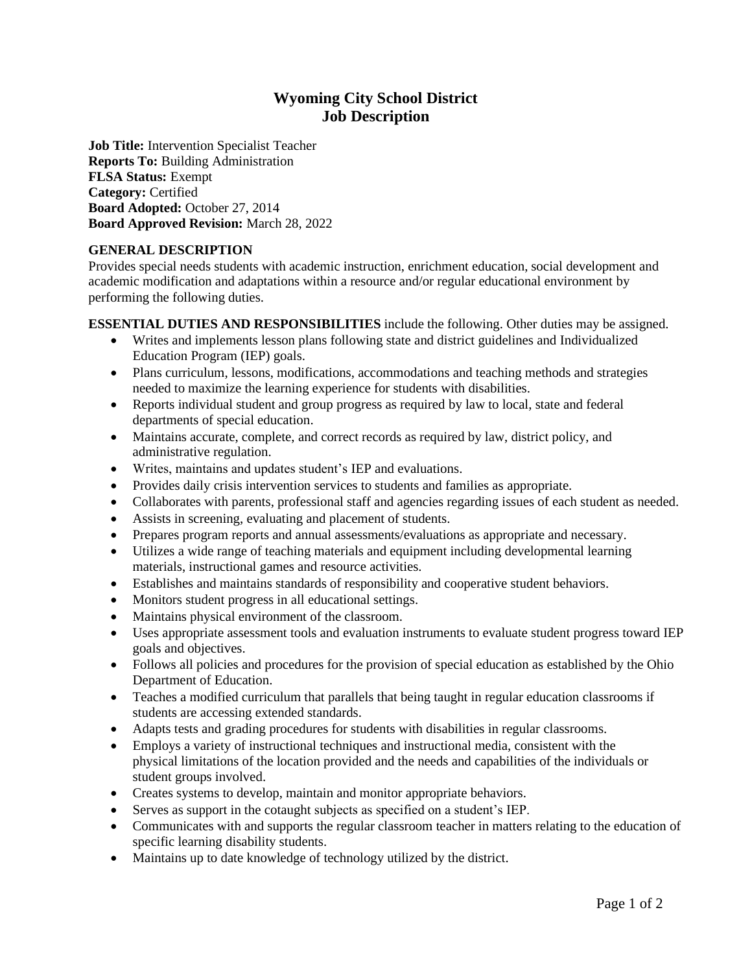# **Wyoming City School District Job Description**

**Job Title:** Intervention Specialist Teacher **Reports To:** Building Administration **FLSA Status:** Exempt **Category:** Certified **Board Adopted:** October 27, 2014 **Board Approved Revision:** March 28, 2022

# **GENERAL DESCRIPTION**

Provides special needs students with academic instruction, enrichment education, social development and academic modification and adaptations within a resource and/or regular educational environment by performing the following duties.

**ESSENTIAL DUTIES AND RESPONSIBILITIES** include the following. Other duties may be assigned.

- Writes and implements lesson plans following state and district guidelines and Individualized Education Program (IEP) goals.
- Plans curriculum, lessons, modifications, accommodations and teaching methods and strategies needed to maximize the learning experience for students with disabilities.
- Reports individual student and group progress as required by law to local, state and federal departments of special education.
- Maintains accurate, complete, and correct records as required by law, district policy, and administrative regulation.
- Writes, maintains and updates student's IEP and evaluations.
- Provides daily crisis intervention services to students and families as appropriate.
- Collaborates with parents, professional staff and agencies regarding issues of each student as needed.
- Assists in screening, evaluating and placement of students.
- Prepares program reports and annual assessments/evaluations as appropriate and necessary.
- Utilizes a wide range of teaching materials and equipment including developmental learning materials, instructional games and resource activities.
- Establishes and maintains standards of responsibility and cooperative student behaviors.
- Monitors student progress in all educational settings.
- Maintains physical environment of the classroom.
- Uses appropriate assessment tools and evaluation instruments to evaluate student progress toward IEP goals and objectives.
- Follows all policies and procedures for the provision of special education as established by the Ohio Department of Education.
- Teaches a modified curriculum that parallels that being taught in regular education classrooms if students are accessing extended standards.
- Adapts tests and grading procedures for students with disabilities in regular classrooms.
- Employs a variety of instructional techniques and instructional media, consistent with the physical limitations of the location provided and the needs and capabilities of the individuals or student groups involved.
- Creates systems to develop, maintain and monitor appropriate behaviors.
- Serves as support in the cotaught subjects as specified on a student's IEP.
- Communicates with and supports the regular classroom teacher in matters relating to the education of specific learning disability students.
- Maintains up to date knowledge of technology utilized by the district.